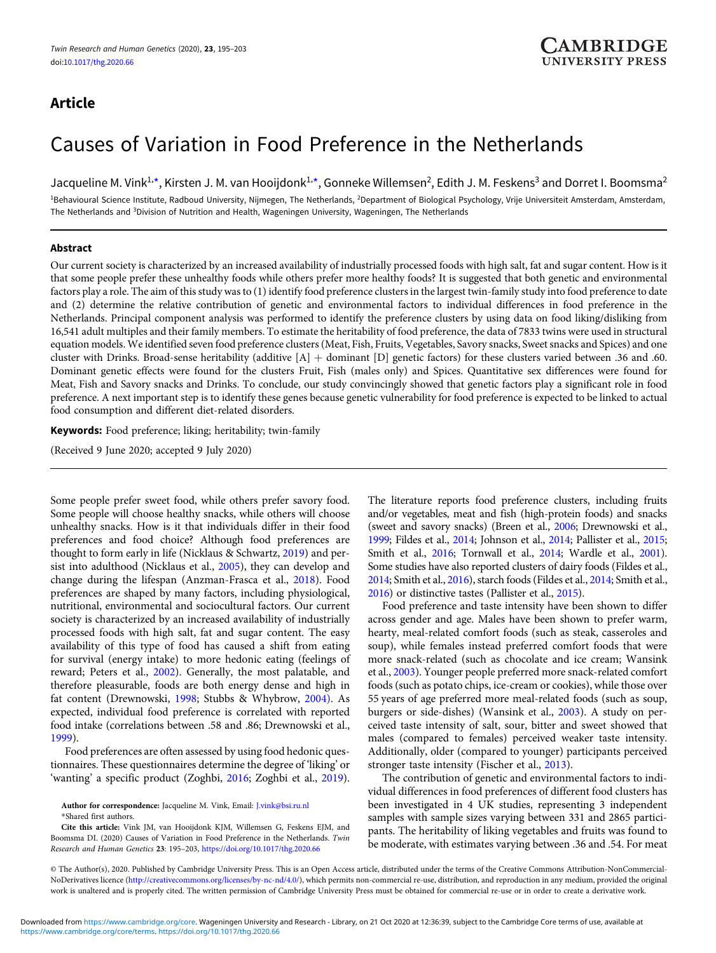# Article

# Causes of Variation in Food Preference in the Netherlands

Jacqueline M. Vink<sup>1,</sup>\*, Kirsten J. M. van Hooijdonk<sup>1,</sup>\*, Gonneke Willemsen<sup>2</sup>, Edith J. M. Feskens<sup>3</sup> and Dorret I. Boomsma<sup>2</sup>

<sup>1</sup>Behavioural Science Institute, Radboud University, Nijmegen, The Netherlands, <sup>2</sup>Department of Biological Psychology, Vrije Universiteit Amsterdam, Amsterdam, The Netherlands and <sup>3</sup>Division of Nutrition and Health, Wageningen University, Wageningen, The Netherlands

#### Abstract

Our current society is characterized by an increased availability of industrially processed foods with high salt, fat and sugar content. How is it that some people prefer these unhealthy foods while others prefer more healthy foods? It is suggested that both genetic and environmental factors play a role. The aim of this study was to (1) identify food preference clusters in the largest twin-family study into food preference to date and (2) determine the relative contribution of genetic and environmental factors to individual differences in food preference in the Netherlands. Principal component analysis was performed to identify the preference clusters by using data on food liking/disliking from 16,541 adult multiples and their family members. To estimate the heritability of food preference, the data of 7833 twins were used in structural equation models. We identified seven food preference clusters (Meat, Fish, Fruits, Vegetables, Savory snacks, Sweet snacks and Spices) and one cluster with Drinks. Broad-sense heritability (additive [A] + dominant [D] genetic factors) for these clusters varied between .36 and .60. Dominant genetic effects were found for the clusters Fruit, Fish (males only) and Spices. Quantitative sex differences were found for Meat, Fish and Savory snacks and Drinks. To conclude, our study convincingly showed that genetic factors play a significant role in food preference. A next important step is to identify these genes because genetic vulnerability for food preference is expected to be linked to actual food consumption and different diet-related disorders.

Keywords: Food preference; liking; heritability; twin-family

(Received 9 June 2020; accepted 9 July 2020)

Some people prefer sweet food, while others prefer savory food. Some people will choose healthy snacks, while others will choose unhealthy snacks. How is it that individuals differ in their food preferences and food choice? Although food preferences are thought to form early in life (Nicklaus & Schwartz, [2019](#page-8-0)) and persist into adulthood (Nicklaus et al., [2005\)](#page-8-0), they can develop and change during the lifespan (Anzman-Frasca et al., [2018](#page-7-0)). Food preferences are shaped by many factors, including physiological, nutritional, environmental and sociocultural factors. Our current society is characterized by an increased availability of industrially processed foods with high salt, fat and sugar content. The easy availability of this type of food has caused a shift from eating for survival (energy intake) to more hedonic eating (feelings of reward; Peters et al., [2002\)](#page-8-0). Generally, the most palatable, and therefore pleasurable, foods are both energy dense and high in fat content (Drewnowski, [1998;](#page-7-0) Stubbs & Whybrow, [2004\)](#page-8-0). As expected, individual food preference is correlated with reported food intake (correlations between .58 and .86; Drewnowski et al., [1999](#page-7-0)).

Food preferences are often assessed by using food hedonic questionnaires. These questionnaires determine the degree of 'liking' or 'wanting' a specific product (Zoghbi, [2016;](#page-8-0) Zoghbi et al., [2019\)](#page-8-0).

Author for correspondence: Jacqueline M. Vink, Email: [J.vink@bsi.ru.nl](mailto:J.vink@bsi.ru.nl) \*Shared first authors.

Cite this article: Vink JM, van Hooijdonk KJM, Willemsen G, Feskens EJM, and Boomsma DI. (2020) Causes of Variation in Food Preference in the Netherlands. Twin Research and Human Genetics 23: 195–203, <https://doi.org/10.1017/thg.2020.66>

The literature reports food preference clusters, including fruits and/or vegetables, meat and fish (high-protein foods) and snacks (sweet and savory snacks) (Breen et al., [2006;](#page-7-0) Drewnowski et al., [1999;](#page-7-0) Fildes et al., [2014](#page-8-0); Johnson et al., [2014](#page-8-0); Pallister et al., [2015;](#page-8-0) Smith et al., [2016](#page-8-0); Tornwall et al., [2014;](#page-8-0) Wardle et al., [2001\)](#page-8-0). Some studies have also reported clusters of dairy foods (Fildes et al., [2014;](#page-8-0) Smith et al., [2016](#page-8-0)), starch foods (Fildes et al., [2014](#page-8-0); Smith et al., [2016\)](#page-8-0) or distinctive tastes (Pallister et al., [2015\)](#page-8-0).

Food preference and taste intensity have been shown to differ across gender and age. Males have been shown to prefer warm, hearty, meal-related comfort foods (such as steak, casseroles and soup), while females instead preferred comfort foods that were more snack-related (such as chocolate and ice cream; Wansink et al., [2003](#page-8-0)). Younger people preferred more snack-related comfort foods (such as potato chips, ice-cream or cookies), while those over 55 years of age preferred more meal-related foods (such as soup, burgers or side-dishes) (Wansink et al., [2003](#page-8-0)). A study on perceived taste intensity of salt, sour, bitter and sweet showed that males (compared to females) perceived weaker taste intensity. Additionally, older (compared to younger) participants perceived stronger taste intensity (Fischer et al., [2013](#page-8-0)).

The contribution of genetic and environmental factors to individual differences in food preferences of different food clusters has been investigated in 4 UK studies, representing 3 independent samples with sample sizes varying between 331 and 2865 participants. The heritability of liking vegetables and fruits was found to be moderate, with estimates varying between .36 and .54. For meat

© The Author(s), 2020. Published by Cambridge University Press. This is an Open Access article, distributed under the terms of the Creative Commons Attribution-NonCommercial-NoDerivatives licence ([http://creativecommons.org/licenses/by-nc-nd/4.0/\)](http://creativecommons.org/licenses/by-nc-nd/4.0/), which permits non-commercial re-use, distribution, and reproduction in any medium, provided the original work is unaltered and is properly cited. The written permission of Cambridge University Press must be obtained for commercial re-use or in order to create a derivative work.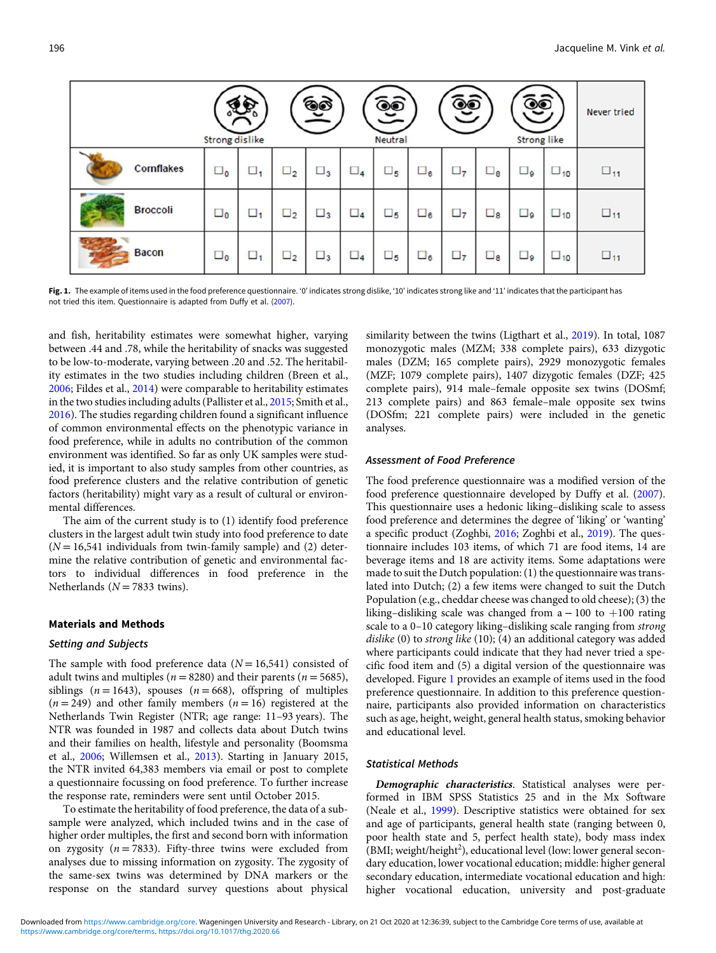|                   | <b>Strong dislike</b>  |             |             | <u>මෙ</u><br>— |             | ಄<br>Neutral |             | ٩    |             | $\odot$<br><b>Strong like</b> |               | <b>Never tried</b> |
|-------------------|------------------------|-------------|-------------|----------------|-------------|--------------|-------------|------|-------------|-------------------------------|---------------|--------------------|
| <b>Cornflakes</b> | $\square_{\mathsf{0}}$ | ⊔,          | $\sqcup_2$  | $\square_3$    | ⊿⊾          | $\Box_5$     | ه⊔          | ⊔7   | $\square_8$ | ا و لک                        | $\sqcup_{10}$ | $\square_{11}$     |
| <b>Broccoli</b>   | $\square_0$            | $\square_1$ | $\square_2$ | $\square_3$    | $\square_4$ | $\square_5$  | $\square_6$ | ⊔7   | $\sqcup_8$  | ا و ل                         | $\sqcup_{10}$ | $\square_{11}$     |
| <b>Bacon</b>      | $\square_0$            | $\square_1$ | $\square_2$ | $\square_3$    | $\Box_4$    | $\square_5$  | $\square_6$ | LJ 7 | $\sqcup_8$  | و آ                           | $\sqcup_{10}$ | $\square_{11}$     |

Fig. 1. The example of items used in the food preference questionnaire. '0' indicates strong dislike, '10' indicates strong like and '11' indicates that the participant has not tried this item. Questionnaire is adapted from Duffy et al. ([2007](#page-7-0)).

and fish, heritability estimates were somewhat higher, varying between .44 and .78, while the heritability of snacks was suggested to be low-to-moderate, varying between .20 and .52. The heritability estimates in the two studies including children (Breen et al., [2006;](#page-7-0) Fildes et al., [2014](#page-8-0)) were comparable to heritability estimates in the two studies including adults (Pallister et al., [2015;](#page-8-0) Smith et al., [2016\)](#page-8-0). The studies regarding children found a significant influence of common environmental effects on the phenotypic variance in food preference, while in adults no contribution of the common environment was identified. So far as only UK samples were studied, it is important to also study samples from other countries, as food preference clusters and the relative contribution of genetic factors (heritability) might vary as a result of cultural or environmental differences.

The aim of the current study is to (1) identify food preference clusters in the largest adult twin study into food preference to date  $(N = 16,541$  individuals from twin-family sample) and (2) determine the relative contribution of genetic and environmental factors to individual differences in food preference in the Netherlands ( $N = 7833$  twins).

# Materials and Methods

#### Setting and Subjects

The sample with food preference data  $(N = 16,541)$  consisted of adult twins and multiples ( $n = 8280$ ) and their parents ( $n = 5685$ ), siblings ( $n = 1643$ ), spouses ( $n = 668$ ), offspring of multiples  $(n = 249)$  and other family members  $(n = 16)$  registered at the Netherlands Twin Register (NTR; age range: 11–93 years). The NTR was founded in 1987 and collects data about Dutch twins and their families on health, lifestyle and personality (Boomsma et al., [2006;](#page-7-0) Willemsen et al., [2013](#page-8-0)). Starting in January 2015, the NTR invited 64,383 members via email or post to complete a questionnaire focussing on food preference. To further increase the response rate, reminders were sent until October 2015.

To estimate the heritability of food preference, the data of a subsample were analyzed, which included twins and in the case of higher order multiples, the first and second born with information on zygosity ( $n = 7833$ ). Fifty-three twins were excluded from analyses due to missing information on zygosity. The zygosity of the same-sex twins was determined by DNA markers or the response on the standard survey questions about physical

similarity between the twins (Ligthart et al., [2019\)](#page-8-0). In total, 1087 monozygotic males (MZM; 338 complete pairs), 633 dizygotic males (DZM; 165 complete pairs), 2929 monozygotic females (MZF; 1079 complete pairs), 1407 dizygotic females (DZF; 425 complete pairs), 914 male–female opposite sex twins (DOSmf; 213 complete pairs) and 863 female–male opposite sex twins (DOSfm; 221 complete pairs) were included in the genetic analyses.

#### Assessment of Food Preference

The food preference questionnaire was a modified version of the food preference questionnaire developed by Duffy et al. ([2007](#page-7-0)). This questionnaire uses a hedonic liking–disliking scale to assess food preference and determines the degree of 'liking' or 'wanting' a specific product (Zoghbi, [2016](#page-8-0); Zoghbi et al., [2019\)](#page-8-0). The questionnaire includes 103 items, of which 71 are food items, 14 are beverage items and 18 are activity items. Some adaptations were made to suit the Dutch population: (1) the questionnaire was translated into Dutch; (2) a few items were changed to suit the Dutch Population (e.g., cheddar cheese was changed to old cheese); (3) the liking–disliking scale was changed from  $a - 100$  to  $+100$  rating scale to a 0–10 category liking–disliking scale ranging from strong dislike (0) to *strong like* (10); (4) an additional category was added where participants could indicate that they had never tried a specific food item and (5) a digital version of the questionnaire was developed. Figure 1 provides an example of items used in the food preference questionnaire. In addition to this preference questionnaire, participants also provided information on characteristics such as age, height, weight, general health status, smoking behavior and educational level.

#### Statistical Methods

Demographic characteristics. Statistical analyses were performed in IBM SPSS Statistics 25 and in the Mx Software (Neale et al., [1999](#page-8-0)). Descriptive statistics were obtained for sex and age of participants, general health state (ranging between 0, poor health state and 5, perfect health state), body mass index (BMI; weight/height<sup>2</sup>), educational level (low: lower general secondary education, lower vocational education; middle: higher general secondary education, intermediate vocational education and high: higher vocational education, university and post-graduate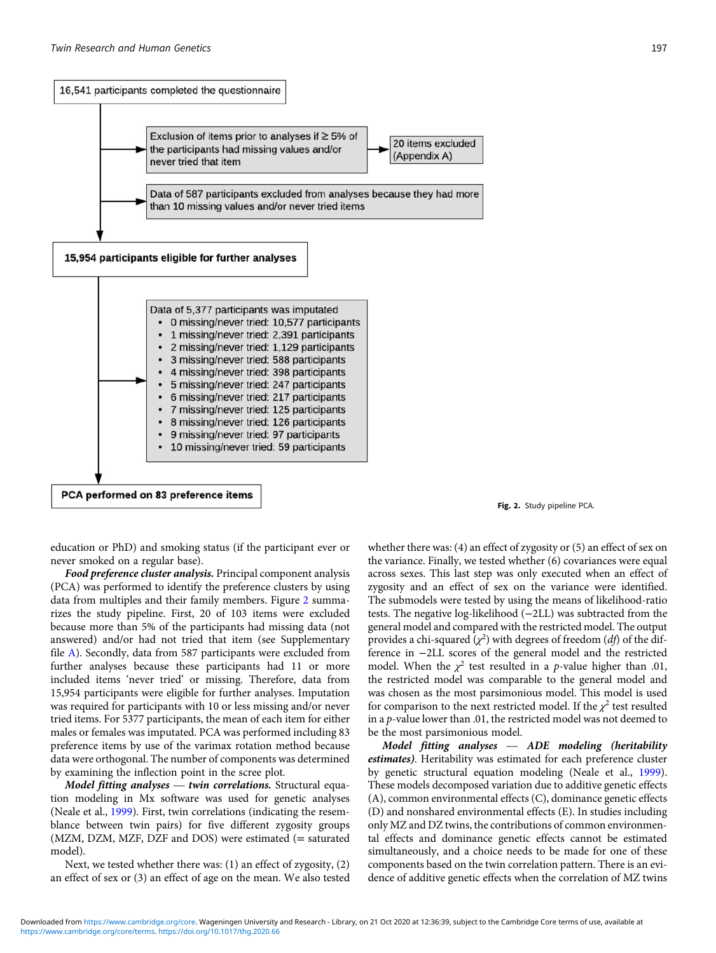



education or PhD) and smoking status (if the participant ever or never smoked on a regular base).

Food preference cluster analysis. Principal component analysis (PCA) was performed to identify the preference clusters by using data from multiples and their family members. Figure 2 summarizes the study pipeline. First, 20 of 103 items were excluded because more than 5% of the participants had missing data (not answered) and/or had not tried that item (see Supplementary file [A\)](https://doi.org/10.1017/thg.2020.66). Secondly, data from 587 participants were excluded from further analyses because these participants had 11 or more included items 'never tried' or missing. Therefore, data from 15,954 participants were eligible for further analyses. Imputation was required for participants with 10 or less missing and/or never tried items. For 5377 participants, the mean of each item for either males or females was imputated. PCA was performed including 83 males or lemales was impluated. PCA was performed including os<br>preference items by use of the varimax rotation method because<br>data were orthogonal. The number of components was determined<br>by examining the inflection point data were orthogonal. The number of components was determined by examining the inflection point in the scree plot.

tion modeling in Mx software was used for genetic analyses (Neale et al., [1999](#page-8-0)). First, twin correlations (indicating the resemblance between twin pairs) for five different zygosity groups (MZM, DZM, MZF, DZF and DOS) were estimated (= saturated model).

Next, we tested whether there was: (1) an effect of zygosity, (2) an effect of sex or (3) an effect of age on the mean. We also tested

whether there was: (4) an effect of zygosity or (5) an effect of sex on the variance. Finally, we tested whether (6) covariances were equal across sexes. This last step was only executed when an effect of zygosity and an effect of sex on the variance were identified. The submodels were tested by using the means of likelihood-ratio tests. The negative log-likelihood (−2LL) was subtracted from the general model and compared with the restricted model. The output provides a chi-squared  $(\chi^2)$  with degrees of freedom (df) of the difference in −2LL scores of the general model and the restricted model. When the  $\chi^2$  test resulted in a *p*-value higher than .01, the restricted model was comparable to the general model and was chosen as the most parsimonious model. This model is used for comparison to the next restricted model. If the  $\chi^2$  test resulted in a  $p$ -value lower than .01, the restricted model was not deemed to be the most parsimonious model. S chosen as the most parsimonious model. I his model is used<br>comparison to the next restricted model. If the  $\chi^2$  test resulted<br>a p-value lower than .01, the restricted model was not deemed to<br>the most parsimonious mode

estimates). Heritability was estimated for each preference cluster by genetic structural equation modeling (Neale et al., [1999\)](#page-8-0). These models decomposed variation due to additive genetic effects (A), common environmental effects (C), dominance genetic effects (D) and nonshared environmental effects (E). In studies including only MZ and DZ twins, the contributions of common environmental effects and dominance genetic effects cannot be estimated simultaneously, and a choice needs to be made for one of these components based on the twin correlation pattern. There is an evidence of additive genetic effects when the correlation of MZ twins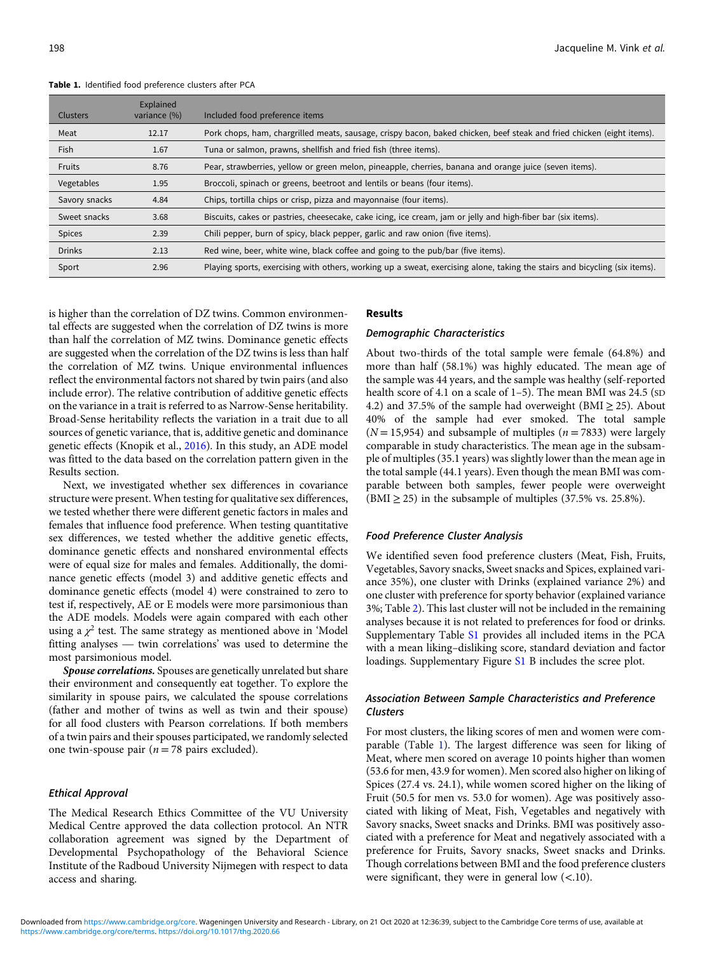| <b>Clusters</b> | Explained<br>variance (%) | Included food preference items                                                                                             |
|-----------------|---------------------------|----------------------------------------------------------------------------------------------------------------------------|
| Meat            | 12.17                     | Pork chops, ham, chargrilled meats, sausage, crispy bacon, baked chicken, beef steak and fried chicken (eight items).      |
| <b>Fish</b>     | 1.67                      | Tuna or salmon, prawns, shellfish and fried fish (three items).                                                            |
| Fruits          | 8.76                      | Pear, strawberries, yellow or green melon, pineapple, cherries, banana and orange juice (seven items).                     |
| Vegetables      | 1.95                      | Broccoli, spinach or greens, beetroot and lentils or beans (four items).                                                   |
| Savory snacks   | 4.84                      | Chips, tortilla chips or crisp, pizza and mayonnaise (four items).                                                         |
| Sweet snacks    | 3.68                      | Biscuits, cakes or pastries, cheesecake, cake icing, ice cream, jam or jelly and high-fiber bar (six items).               |
| <b>Spices</b>   | 2.39                      | Chili pepper, burn of spicy, black pepper, garlic and raw onion (five items).                                              |
| <b>Drinks</b>   | 2.13                      | Red wine, beer, white wine, black coffee and going to the pub/bar (five items).                                            |
| Sport           | 2.96                      | Playing sports, exercising with others, working up a sweat, exercising alone, taking the stairs and bicycling (six items). |

Table 1. Identified food preference clusters after PCA

is higher than the correlation of DZ twins. Common environmental effects are suggested when the correlation of DZ twins is more than half the correlation of MZ twins. Dominance genetic effects are suggested when the correlation of the DZ twins is less than half the correlation of MZ twins. Unique environmental influences reflect the environmental factors not shared by twin pairs (and also include error). The relative contribution of additive genetic effects on the variance in a trait is referred to as Narrow-Sense heritability. Broad-Sense heritability reflects the variation in a trait due to all sources of genetic variance, that is, additive genetic and dominance genetic effects (Knopik et al., [2016\)](#page-8-0). In this study, an ADE model was fitted to the data based on the correlation pattern given in the Results section.

Next, we investigated whether sex differences in covariance structure were present. When testing for qualitative sex differences, we tested whether there were different genetic factors in males and females that influence food preference. When testing quantitative sex differences, we tested whether the additive genetic effects, dominance genetic effects and nonshared environmental effects were of equal size for males and females. Additionally, the dominance genetic effects (model 3) and additive genetic effects and dominance genetic effects (model 4) were constrained to zero to test if, respectively, AE or E models were more parsimonious than the ADE models. Models were again compared with each other using a  $\chi^2$  test. The same strategy as mentioned above in 'Model dominance geneuc enects (model 4) were constrained to zero to<br>test if, respectively, AE or E models were more parsimonious than<br>the ADE models. Models were again compared with each other<br>using a  $\chi^2$  test. The same stra most parsimonious model.

Spouse correlations. Spouses are genetically unrelated but share their environment and consequently eat together. To explore the similarity in spouse pairs, we calculated the spouse correlations (father and mother of twins as well as twin and their spouse) for all food clusters with Pearson correlations. If both members of a twin pairs and their spouses participated, we randomly selected one twin-spouse pair ( $n = 78$  pairs excluded).

#### Ethical Approval

The Medical Research Ethics Committee of the VU University Medical Centre approved the data collection protocol. An NTR collaboration agreement was signed by the Department of Developmental Psychopathology of the Behavioral Science Institute of the Radboud University Nijmegen with respect to data access and sharing.

# Results

#### Demographic Characteristics

About two-thirds of the total sample were female (64.8%) and more than half (58.1%) was highly educated. The mean age of the sample was 44 years, and the sample was healthy (self-reported health score of 4.1 on a scale of 1–5). The mean BMI was 24.5 (SD 4.2) and 37.5% of the sample had overweight (BMI  $\geq$  25). About 40% of the sample had ever smoked. The total sample  $(N = 15,954)$  and subsample of multiples  $(n = 7833)$  were largely comparable in study characteristics. The mean age in the subsample of multiples (35.1 years) was slightly lower than the mean age in the total sample (44.1 years). Even though the mean BMI was comparable between both samples, fewer people were overweight  $(BMI \geq 25)$  in the subsample of multiples (37.5% vs. 25.8%).

#### Food Preference Cluster Analysis

We identified seven food preference clusters (Meat, Fish, Fruits, Vegetables, Savory snacks, Sweet snacks and Spices, explained variance 35%), one cluster with Drinks (explained variance 2%) and one cluster with preference for sporty behavior (explained variance 3%; Table [2\)](#page-4-0). This last cluster will not be included in the remaining analyses because it is not related to preferences for food or drinks. Supplementary Table [S1](https://doi.org/10.1017/thg.2020.66) provides all included items in the PCA with a mean liking–disliking score, standard deviation and factor loadings. Supplementary Figure [S1](https://doi.org/10.1017/thg.2020.66) B includes the scree plot.

# Association Between Sample Characteristics and Preference Clusters

For most clusters, the liking scores of men and women were comparable (Table 1). The largest difference was seen for liking of Meat, where men scored on average 10 points higher than women (53.6 for men, 43.9 for women). Men scored also higher on liking of Spices (27.4 vs. 24.1), while women scored higher on the liking of Fruit (50.5 for men vs. 53.0 for women). Age was positively associated with liking of Meat, Fish, Vegetables and negatively with Savory snacks, Sweet snacks and Drinks. BMI was positively associated with a preference for Meat and negatively associated with a preference for Fruits, Savory snacks, Sweet snacks and Drinks. Though correlations between BMI and the food preference clusters were significant, they were in general low  $(<.10$ ).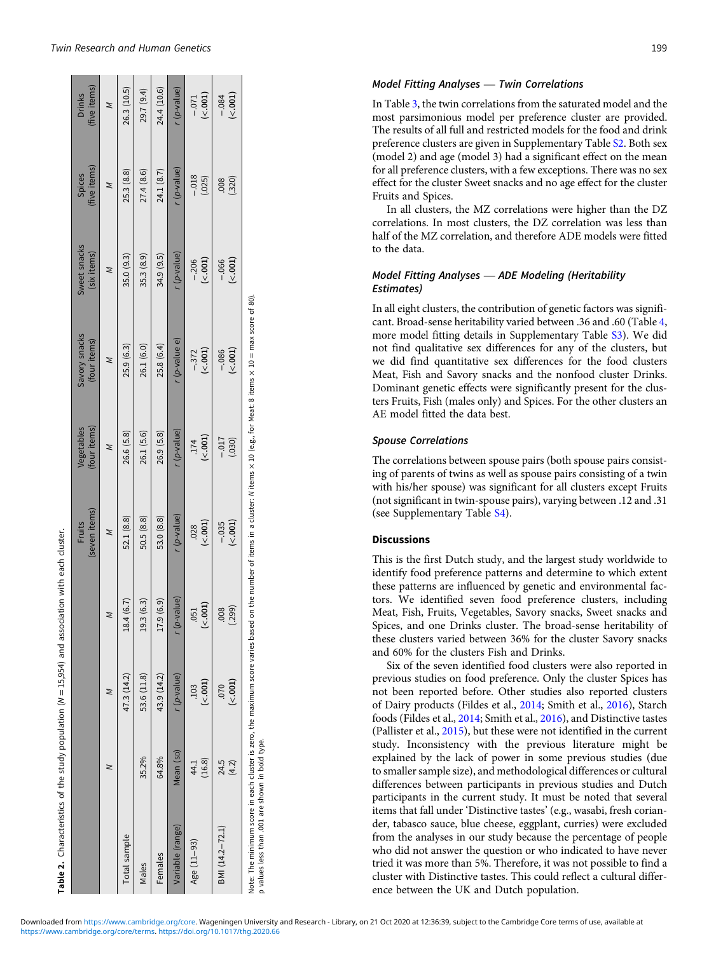<span id="page-4-0"></span>

|                                                 |                |                 |                       | (seven items)<br><b>Fruits</b> | (four items)<br>Vegetables | Savory snacks<br>(four items)                                                                                                                                                      | Sweet snacks<br>(six items) | (five items)<br>Spices | (five items)<br><b>Drinks</b> |
|-------------------------------------------------|----------------|-----------------|-----------------------|--------------------------------|----------------------------|------------------------------------------------------------------------------------------------------------------------------------------------------------------------------------|-----------------------------|------------------------|-------------------------------|
|                                                 |                | z               |                       | z                              | z                          | z                                                                                                                                                                                  | z                           | z                      | z                             |
| Total sample                                    |                | 47.3 (14.2)     | 18.4 (6.7)            | 52.1 (8.8)                     | 26.6 (5.8)                 | 25.9 (6.3)                                                                                                                                                                         | 35.0 (9.3)                  | 25.3 (8.8)             | 26.3 (10.5)                   |
| Males                                           | 35.2%          | 53.6 (11.8)     | 19.3(6.3)             | 50.5(8.8)                      | 26.1 (5.6)                 | 26.1 (6.0)                                                                                                                                                                         | 35.3 (8.9)                  | 27.4 (8.6)             | 29.7 (9.4)                    |
| Females                                         | 64.8%          | 43.9 (14.2)     | 17.9 (6.9)            | 53.0 (8.8)                     | 26.9 (5.8)                 | 25.8 (6.4)                                                                                                                                                                         | 34.9 (9.5)                  | 24.1 (8.7)             | 24.4 (10.6)                   |
| Variable (range)                                | Mean (sp)      | $r(p$ -value)   | r (p-value)           | r (p-value)                    | (p-value)                  | (p-value e)                                                                                                                                                                        | r (p-value)                 | r (p-value)            | - (p-value)                   |
| Age (11-93)                                     | (16.8)<br>44.1 | (<.001)<br>.103 | .051<br>$\frac{1}{2}$ | $(-.001)$<br>.028              | $(-.001)$<br>.174          | $(-.001)$<br>$-372$                                                                                                                                                                | $({} < .001)$<br>$-.206$    | $-.018$<br>(.025)      | $(-.001)$<br>$-0.071$         |
| BMI (14.2-72.1)                                 | 24.5<br>(4.2)  | (<.001)<br>.070 | .008<br>(.299)        | $(-001)$<br>$-0.035$           | $-0.017$<br>(.030)         | $(-.001)$<br>$-0.86$                                                                                                                                                               | $(-001)$<br>$-066$          | (.320)<br>.008         | (<.001)<br>$-0.84$            |
| p values less than .001 are shown in bold type. |                |                 |                       |                                |                            | Note: The minimum score in each cluster is zero, the maximum score varies based on the number of items in a cluster: N items x 10 (e.g., for Meat: 8 items x 10 = max score of 80) |                             |                        |                               |

# Model Fitting Analyses — Twin Correlations

In Table [3](#page-5-0), the twin correlations from the saturated model and the most parsimonious model per preference cluster are provided. The results of all full and restricted models for the food and drink preference clusters are given in Supplementary Table [S2.](https://doi.org/10.1017/thg.2020.66) Both sex (model 2) and age (model 3) had a significant effect on the mean for all preference clusters, with a few exceptions. There was no sex effect for the cluster Sweet snacks and no age effect for the cluster Fruits and Spices.

In all clusters, the MZ correlations were higher than the DZ correlations. In most clusters, the DZ correlation was less than half of the MZ correlation, and therefore ADE models were fitted to the data.

# Model Fitting Analyses — ADE Modeling (Heritability Estimates)

In all eight clusters, the contribution of genetic factors was significant. Broad-sense heritability varied between .36 and .60 (Table [4,](#page-6-0) more model fitting details in Supplementary Table [S3\)](https://doi.org/10.1017/thg.2020.66). We did not find qualitative sex differences for any of the clusters, but we did find quantitative sex differences for the food clusters Meat, Fish and Savory snacks and the nonfood cluster Drinks. Dominant genetic effects were significantly present for the clusters Fruits, Fish (males only) and Spices. For the other clusters an AE model fitted the data best.

#### Spouse Correlations

The correlations between spouse pairs (both spouse pairs consisting of parents of twins as well as spouse pairs consisting of a twin with his/her spouse) was significant for all clusters except Fruits (not significant in twin-spouse pairs), varying between .12 and .31 (see Supplementary Table [S4](https://doi.org/10.1017/thg.2020.66)).

#### Discussions

This is the first Dutch study, and the largest study worldwide to identify food preference patterns and determine to which extent these patterns are influenced by genetic and environmental factors. We identified seven food preference clusters, including Meat, Fish, Fruits, Vegetables, Savory snacks, Sweet snacks and Spices, and one Drinks cluster. The broad-sense heritability of these clusters varied between 36% for the cluster Savory snacks and 60% for the clusters Fish and Drinks.

Six of the seven identified food clusters were also reported in previous studies on food preference. Only the cluster Spices has not been reported before. Other studies also reported clusters of Dairy products (Fildes et al., [2014;](#page-8-0) Smith et al., [2016\)](#page-8-0), Starch foods (Fildes et al., [2014](#page-8-0); Smith et al., [2016\)](#page-8-0), and Distinctive tastes (Pallister et al., [2015\)](#page-8-0), but these were not identified in the current study. Inconsistency with the previous literature might be explained by the lack of power in some previous studies (due to smaller sample size), and methodological differences or cultural differences between participants in previous studies and Dutch participants in the current study. It must be noted that several items that fall under 'Distinctive tastes' (e.g., wasabi, fresh coriander, tabasco sauce, blue cheese, eggplant, curries) were excluded from the analyses in our study because the percentage of people who did not answer the question or who indicated to have never tried it was more than 5%. Therefore, it was not possible to find a cluster with Distinctive tastes. This could reflect a cultural difference between the UK and Dutch population.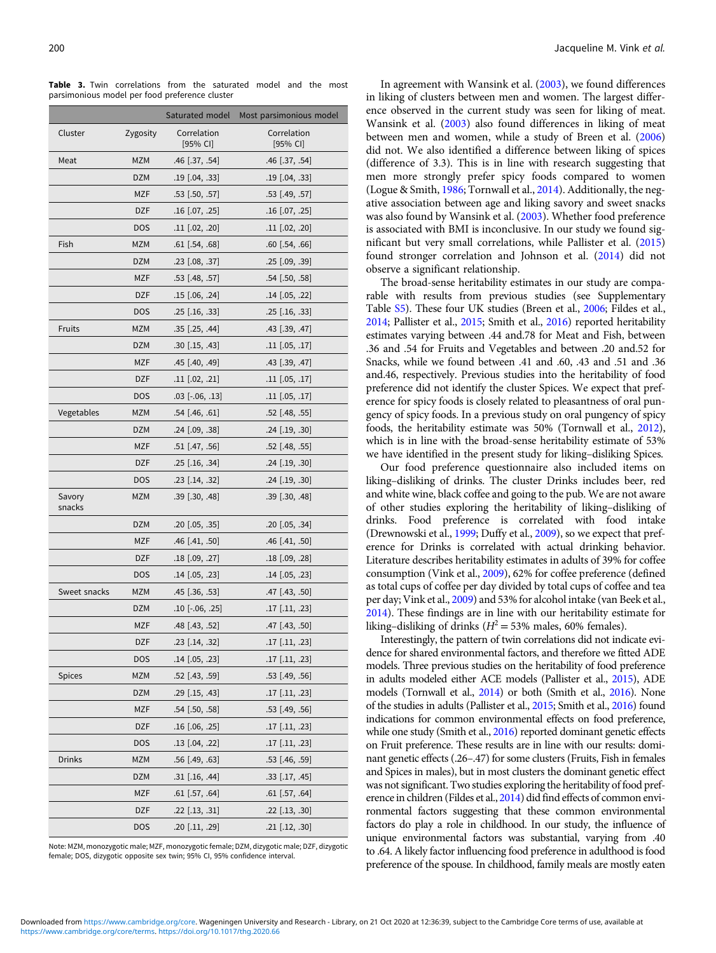<span id="page-5-0"></span>Table 3. Twin correlations from the saturated model and the most parsimonious model per food preference cluster

|                  |            |                           | Saturated model Most parsimonious model |
|------------------|------------|---------------------------|-----------------------------------------|
| Cluster          | Zygosity   | Correlation<br>$[95%$ CI] | Correlation<br>[95% CI]                 |
| Meat             | MZM        | .46 [.37, .54]            | .46 [.37, .54]                          |
|                  | <b>DZM</b> | $.19$ $[.04, .33]$        | $.19$ [.04, .33]                        |
|                  | MZF        | $.53$ $[.50, .57]$        | .53 [.49, .57]                          |
|                  | DZF        | $.16$ [.07, .25]          | $.16$ $[.07, .25]$                      |
|                  | <b>DOS</b> | $.11$ $[.02, .20]$        | $.11$ $[.02, .20]$                      |
| Fish             | MZM        | $.61$ $[.54, .68]$        | $.60$ $(.54, .66)$                      |
|                  | <b>DZM</b> | $.23$ $[.08, .37]$        | $.25$ $[.09, .39]$                      |
|                  | MZF        | $.53$ [.48, .57]          | .54 [.50, .58]                          |
|                  | DZF        | $.15$ $[.06, .24]$        | $.14$ $[.05, .22]$                      |
|                  | DOS        | $.25$ [.16, .33]          | $.25$ [.16, .33]                        |
| Fruits           | MZM        | $.35$ $[.25, .44]$        | .43 [.39, .47]                          |
|                  | <b>DZM</b> | $.30$ [.15, .43]          | .11 [.05, .17]                          |
|                  | MZF        | $.45$ $[.40, .49]$        | $.43$ $[.39, .47]$                      |
|                  | DZF        | $.11$ $[.02, .21]$        | $.11$ [.05, .17]                        |
|                  | DOS        | $.03$ [ $-.06, .13$ ]     | $.11$ $[.05, .17]$                      |
| Vegetables       | MZM        | $.54$ [.46, .61]          | $.52$ $[.48, .55]$                      |
|                  | <b>DZM</b> | $.24$ $[.09, .38]$        | .24 [.19, .30]                          |
|                  | MZF        | .51 [.47, .56]            | .52 [.48, .55]                          |
|                  | DZF        | $.25$ [.16, .34]          | $.24$ [.19, .30]                        |
|                  | <b>DOS</b> | $.23$ [.14, .32]          | .24 [.19, .30]                          |
| Savory<br>snacks | MZM        | .39 [.30, .48]            | .39 [.30, .48]                          |
|                  | <b>DZM</b> | $.20$ $[.05, .35]$        | $.20$ $[.05, .34]$                      |
|                  | MZF        | .46 [.41, .50]            | .46 [.41, .50]                          |
|                  | DZF        | $.18$ $[.09, .27]$        | $.18$ $[.09, .28]$                      |
|                  | DOS        | $.14$ $[.05, .23]$        | $.14$ $[.05, .23]$                      |
| Sweet snacks     | MZM        | .45 [.36, .53]            | .47 [.43, .50]                          |
|                  | <b>DZM</b> | $.10$ [ $-.06, .25$ ]     | $.17$ $[.11, .23]$                      |
|                  | MZF        | $.48$ [.43, .52]          | $.47$ $[.43, .50]$                      |
|                  | DZF        | .23 [.14, .32]            | .17 [.11, .23]                          |
|                  | DOS        | $.14$ [.05, .23]          | $.17$ [.11, .23]                        |
| Spices           | MZM        | $.52$ [.43, .59]          | .53 [.49, .56]                          |
|                  | <b>DZM</b> | $.29$ $[.15, .43]$        | [23. ,11.   17.                         |
|                  | MZF        | $.54$ [.50, .58]          | .53 [.49, .56]                          |
|                  | <b>DZF</b> | $.16$ $[.06, .25]$        | $.17$ [.11, .23]                        |
|                  | <b>DOS</b> | .13 [.04, .22]            | [23. ,11.   17.                         |
| Drinks           | MZM        | $.56$ [.49, .63]          | $.53$ $[.46, .59]$                      |
|                  | <b>DZM</b> | $.31$ [.16, .44]          | $.33$ [.17, .45]                        |
|                  | <b>MZF</b> | $.61$ [.57, .64]          | .61 [.57, .64]                          |
|                  | DZF        | $.22$ [.13, .31]          | $.22$ [.13, .30]                        |
|                  | DOS        | .20 [.11, .29]            | .21 [.12, .30]                          |

Note: MZM, monozygotic male; MZF, monozygotic female; DZM, dizygotic male; DZF, dizygotic female; DOS, dizygotic opposite sex twin; 95% CI, 95% confidence interval.

In agreement with Wansink et al. ([2003\)](#page-8-0), we found differences in liking of clusters between men and women. The largest difference observed in the current study was seen for liking of meat. Wansink et al. ([2003](#page-8-0)) also found differences in liking of meat between men and women, while a study of Breen et al. ([2006](#page-7-0)) did not. We also identified a difference between liking of spices (difference of 3.3). This is in line with research suggesting that men more strongly prefer spicy foods compared to women (Logue & Smith, [1986;](#page-8-0) Tornwall et al., [2014\)](#page-8-0). Additionally, the negative association between age and liking savory and sweet snacks was also found by Wansink et al. ([2003](#page-8-0)). Whether food preference is associated with BMI is inconclusive. In our study we found significant but very small correlations, while Pallister et al. ([2015](#page-8-0)) found stronger correlation and Johnson et al. [\(2014\)](#page-8-0) did not observe a significant relationship.

The broad-sense heritability estimates in our study are comparable with results from previous studies (see Supplementary Table [S5](https://doi.org/10.1017/thg.2020.66)). These four UK studies (Breen et al., [2006](#page-7-0); Fildes et al., [2014](#page-8-0); Pallister et al., [2015](#page-8-0); Smith et al., [2016](#page-8-0)) reported heritability estimates varying between .44 and.78 for Meat and Fish, between .36 and .54 for Fruits and Vegetables and between .20 and.52 for Snacks, while we found between .41 and .60, .43 and .51 and .36 and.46, respectively. Previous studies into the heritability of food preference did not identify the cluster Spices. We expect that preference for spicy foods is closely related to pleasantness of oral pungency of spicy foods. In a previous study on oral pungency of spicy foods, the heritability estimate was 50% (Tornwall et al., [2012](#page-8-0)), which is in line with the broad-sense heritability estimate of 53% we have identified in the present study for liking–disliking Spices.

Our food preference questionnaire also included items on liking–disliking of drinks. The cluster Drinks includes beer, red and white wine, black coffee and going to the pub. We are not aware of other studies exploring the heritability of liking–disliking of drinks. Food preference is correlated with food intake (Drewnowski et al., [1999;](#page-7-0) Duffy et al., [2009\)](#page-7-0), so we expect that preference for Drinks is correlated with actual drinking behavior. Literature describes heritability estimates in adults of 39% for coffee consumption (Vink et al., [2009](#page-8-0)), 62% for coffee preference (defined as total cups of coffee per day divided by total cups of coffee and tea per day; Vink et al., [2009\)](#page-8-0) and 53% for alcohol intake (van Beek et al., [2014](#page-8-0)). These findings are in line with our heritability estimate for liking–disliking of drinks ( $H^2 = 53\%$  males, 60% females).

Interestingly, the pattern of twin correlations did not indicate evidence for shared environmental factors, and therefore we fitted ADE models. Three previous studies on the heritability of food preference in adults modeled either ACE models (Pallister et al., [2015\)](#page-8-0), ADE models (Tornwall et al., [2014\)](#page-8-0) or both (Smith et al., [2016](#page-8-0)). None of the studies in adults (Pallister et al., [2015](#page-8-0); Smith et al., [2016](#page-8-0)) found indications for common environmental effects on food preference, while one study (Smith et al., [2016\)](#page-8-0) reported dominant genetic effects on Fruit preference. These results are in line with our results: dominant genetic effects (.26–.47) for some clusters (Fruits, Fish in females and Spices in males), but in most clusters the dominant genetic effect was not significant. Two studies exploring the heritability of food preference in children (Fildes et al., [2014\)](#page-8-0) did find effects of common environmental factors suggesting that these common environmental factors do play a role in childhood. In our study, the influence of unique environmental factors was substantial, varying from .40 to .64. A likely factor influencing food preference in adulthood is food preference of the spouse. In childhood, family meals are mostly eaten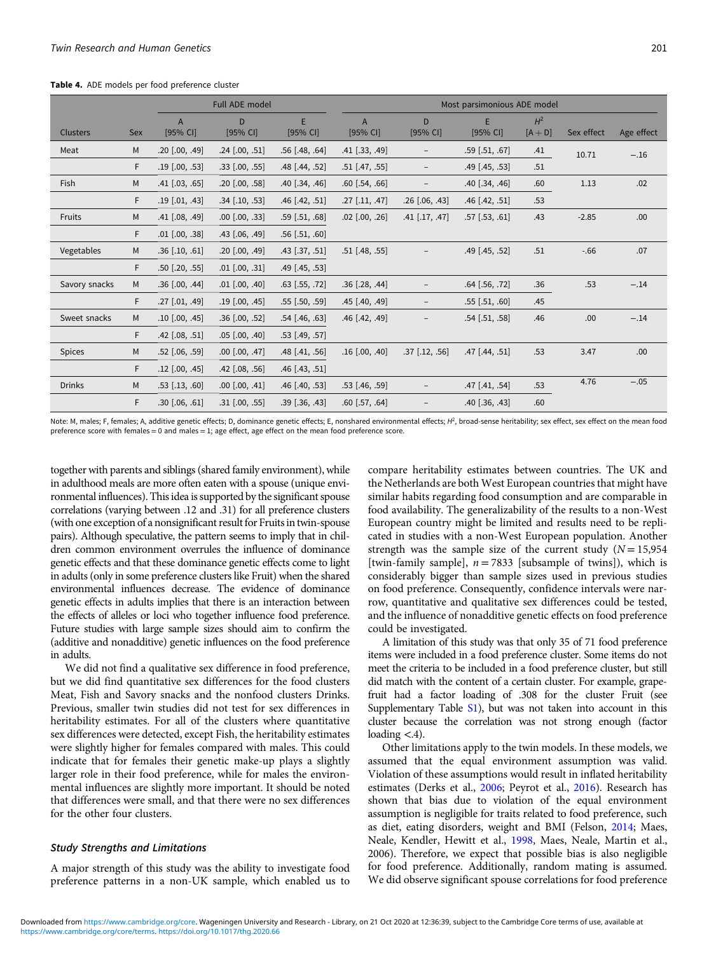<span id="page-6-0"></span>Table 4. ADE models per food preference cluster

|                 |     | Full ADE model     |                    |                    | Most parsimonious ADE model |                          |                    |           |            |            |  |
|-----------------|-----|--------------------|--------------------|--------------------|-----------------------------|--------------------------|--------------------|-----------|------------|------------|--|
|                 |     | $\mathsf{A}$       | D                  | E.                 | $\overline{A}$              | D                        | E                  | $H^2$     |            |            |  |
| <b>Clusters</b> | Sex | [95% CI]           | $[95%$ CI]         | $[95%$ CI]         | [95% CI]                    | [95% CI]                 | [95% CI]           | $[A + D]$ | Sex effect | Age effect |  |
| Meat            | М   | $.20$ $[.00, .49]$ | $.24$ [.00, .51]   | $.56$ $[.48, .64]$ | .41 [.33, .49]              |                          | $.59$ [.51, .67]   | .41       | 10.71      | $-.16$     |  |
|                 | F   | .19 [.00, .53]     | $.33$ $[.00, .55]$ | $.48$ [.44, .52]   | $.51$ [.47, .55]            | $\overline{\phantom{m}}$ | $.49$ [.45, .53]   | .51       |            |            |  |
| <b>Fish</b>     | M   | $.41$ [.03, .65]   | $.20$ $[.00, .58]$ | $.40$ $[.34, .46]$ | $.60$ [ $.54$ , $.66$ ]     |                          | $.40$ $[.34, .46]$ | .60       | 1.13       | .02        |  |
|                 | F   | $.19$ $[.01, .43]$ | $.34$ [.10, .53]   | $.46$ [.42, .51]   | $.27$ [.11, .47]            | $.26$ [.06, .43]         | $.46$ [.42, .51]   | .53       |            |            |  |
| Fruits          | M   | $.41$ $[.08, .49]$ | $.00$ $[.00, .33]$ | $.59$ [.51, .68]   | $.02$ $[.00, .26]$          | $.41$ [.17, .47]         | $.57$ [.53, .61]   | .43       | $-2.85$    | .00        |  |
|                 | F   | $.01$ $[.00, .38]$ | $.43$ $[.06, .49]$ | $.56$ [.51, .60]   |                             |                          |                    |           |            |            |  |
| Vegetables      | M   | $.36$ [.10, .61]   | $.20$ $[.00, .49]$ | .43 [.37, .51]     | $.51$ $[.48, .55]$          |                          | $.49$ [.45, .52]   | .51       | $-66$      | .07        |  |
|                 | F   | $.50$ $[.20, .55]$ | $.01$ $[.00, .31]$ | .49 [.45, .53]     |                             |                          |                    |           |            |            |  |
| Savory snacks   | M   | $.36$ $[.00, .44]$ | $.01$ $[.00, .40]$ | $.63$ [.55, .72]   | $.36$ [.28, .44]            |                          | $.64$ [.56, .72]   | .36       | .53        | $-.14$     |  |
|                 | F   | $.27$ [.01, .49]   | $.19$ $[.00, .45]$ | $.55$ [.50, .59]   | $.45$ $(.40, .49]$          |                          | $.55$ [.51, .60]   | .45       |            |            |  |
| Sweet snacks    | М   | $.10$ $[.00, .45]$ | $.36$ $[.00, .52]$ | $.54$ [.46, .63]   | $.46$ [.42, .49]            |                          | $.54$ [.51, .58]   | .46       | .00        | $-.14$     |  |
|                 | F   | .42 [.08, .51]     | $.05$ $[.00, .40]$ | .53 [.49, .57]     |                             |                          |                    |           |            |            |  |
| <b>Spices</b>   | M   | .52 [.06, .59]     | $.00$ $[.00, .47]$ | $.48$ [.41, .56]   | $.16$ $[.00, .40]$          | $.37$ [ $.12$ , $.56$ ]  | $.47$ [.44, .51]   | .53       | 3.47       | .00        |  |
|                 | F   | $.12$ $[.00, .45]$ | $.42$ $[.08, .56]$ | $.46$ [.43, .51]   |                             |                          |                    |           |            |            |  |
| <b>Drinks</b>   | M   | $.53$ [.13, .60]   | $.00$ $[.00, .41]$ | $.46$ $(.40, .53]$ | $.53$ [.46, .59]            |                          | $.47$ [.41, .54]   | .53       | 4.76       | $-.05$     |  |
|                 | F   | $.30$ $[.06, .61]$ | $.31$ [.00, .55]   | $.39$ [.36, .43]   | $.60$ [.57, .64]            |                          | $.40$ [.36, .43]   | .60       |            |            |  |

Note: M, males; F, females; A, additive genetic effects; D, dominance genetic effects; E, nonshared environmental effects;  $H^2$ , broad-sense heritability; sex effect, sex effect on the mean food preference score with females = 0 and males = 1; age effect, age effect on the mean food preference score.

together with parents and siblings (shared family environment), while in adulthood meals are more often eaten with a spouse (unique environmental influences). This idea is supported by the significant spouse correlations (varying between .12 and .31) for all preference clusters (with one exception of a nonsignificant result for Fruits in twin-spouse pairs). Although speculative, the pattern seems to imply that in children common environment overrules the influence of dominance genetic effects and that these dominance genetic effects come to light in adults (only in some preference clusters like Fruit) when the shared environmental influences decrease. The evidence of dominance genetic effects in adults implies that there is an interaction between the effects of alleles or loci who together influence food preference. Future studies with large sample sizes should aim to confirm the (additive and nonadditive) genetic influences on the food preference in adults.

We did not find a qualitative sex difference in food preference, but we did find quantitative sex differences for the food clusters Meat, Fish and Savory snacks and the nonfood clusters Drinks. Previous, smaller twin studies did not test for sex differences in heritability estimates. For all of the clusters where quantitative sex differences were detected, except Fish, the heritability estimates were slightly higher for females compared with males. This could indicate that for females their genetic make-up plays a slightly larger role in their food preference, while for males the environmental influences are slightly more important. It should be noted that differences were small, and that there were no sex differences for the other four clusters.

# Study Strengths and Limitations

A major strength of this study was the ability to investigate food preference patterns in a non-UK sample, which enabled us to

compare heritability estimates between countries. The UK and the Netherlands are both West European countries that might have similar habits regarding food consumption and are comparable in food availability. The generalizability of the results to a non-West European country might be limited and results need to be replicated in studies with a non-West European population. Another strength was the sample size of the current study  $(N = 15,954)$ [twin-family sample],  $n = 7833$  [subsample of twins]), which is considerably bigger than sample sizes used in previous studies on food preference. Consequently, confidence intervals were narrow, quantitative and qualitative sex differences could be tested, and the influence of nonadditive genetic effects on food preference could be investigated.

A limitation of this study was that only 35 of 71 food preference items were included in a food preference cluster. Some items do not meet the criteria to be included in a food preference cluster, but still did match with the content of a certain cluster. For example, grapefruit had a factor loading of .308 for the cluster Fruit (see Supplementary Table [S1\)](https://doi.org/10.1017/thg.2020.66), but was not taken into account in this cluster because the correlation was not strong enough (factor loading  $\langle .4 \rangle$ .

Other limitations apply to the twin models. In these models, we assumed that the equal environment assumption was valid. Violation of these assumptions would result in inflated heritability estimates (Derks et al., [2006;](#page-7-0) Peyrot et al., [2016](#page-8-0)). Research has shown that bias due to violation of the equal environment assumption is negligible for traits related to food preference, such as diet, eating disorders, weight and BMI (Felson, [2014;](#page-8-0) Maes, Neale, Kendler, Hewitt et al., [1998](#page-8-0), Maes, Neale, Martin et al., 2006). Therefore, we expect that possible bias is also negligible for food preference. Additionally, random mating is assumed. We did observe significant spouse correlations for food preference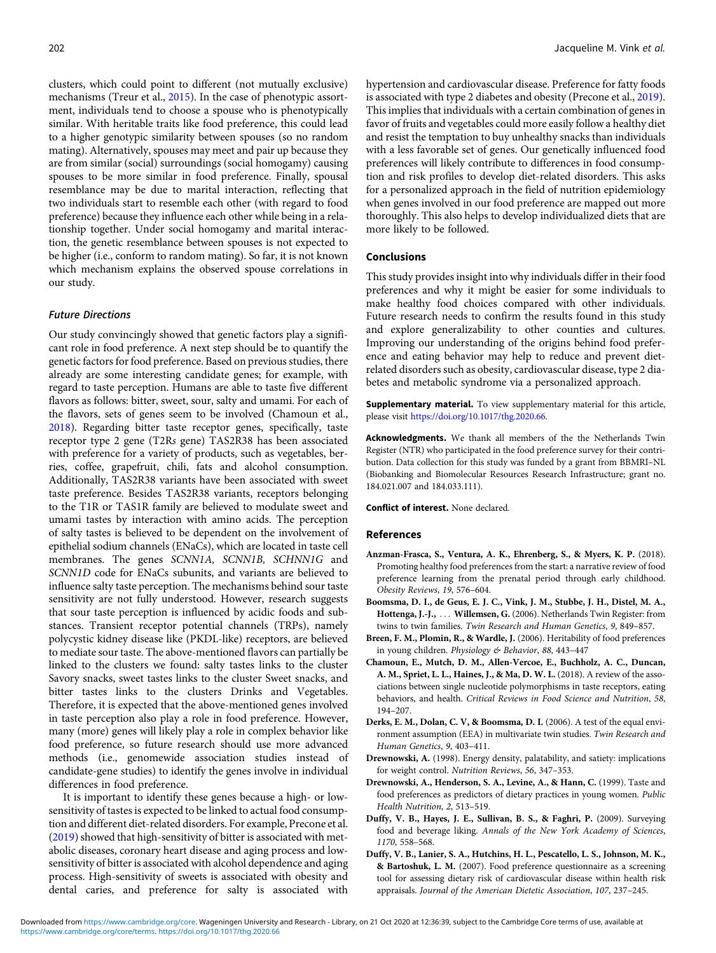<span id="page-7-0"></span>clusters, which could point to different (not mutually exclusive) mechanisms (Treur et al., [2015](#page-8-0)). In the case of phenotypic assortment, individuals tend to choose a spouse who is phenotypically similar. With heritable traits like food preference, this could lead to a higher genotypic similarity between spouses (so no random mating). Alternatively, spouses may meet and pair up because they are from similar (social) surroundings (social homogamy) causing spouses to be more similar in food preference. Finally, spousal resemblance may be due to marital interaction, reflecting that two individuals start to resemble each other (with regard to food preference) because they influence each other while being in a rela-

tionship together. Under social homogamy and marital interaction, the genetic resemblance between spouses is not expected to be higher (i.e., conform to random mating). So far, it is not known which mechanism explains the observed spouse correlations in our study.

# Future Directions

Our study convincingly showed that genetic factors play a significant role in food preference. A next step should be to quantify the genetic factors for food preference. Based on previous studies, there already are some interesting candidate genes; for example, with regard to taste perception. Humans are able to taste five different flavors as follows: bitter, sweet, sour, salty and umami. For each of the flavors, sets of genes seem to be involved (Chamoun et al., 2018). Regarding bitter taste receptor genes, specifically, taste receptor type 2 gene (T2Rs gene) TAS2R38 has been associated with preference for a variety of products, such as vegetables, berries, coffee, grapefruit, chili, fats and alcohol consumption. Additionally, TAS2R38 variants have been associated with sweet taste preference. Besides TAS2R38 variants, receptors belonging to the T1R or TAS1R family are believed to modulate sweet and umami tastes by interaction with amino acids. The perception of salty tastes is believed to be dependent on the involvement of epithelial sodium channels (ENaCs), which are located in taste cell membranes. The genes SCNN1A, SCNN1B, SCHNN1G and SCNN1D code for ENaCs subunits, and variants are believed to influence salty taste perception. The mechanisms behind sour taste sensitivity are not fully understood. However, research suggests that sour taste perception is influenced by acidic foods and substances. Transient receptor potential channels (TRPs), namely polycystic kidney disease like (PKDL-like) receptors, are believed to mediate sour taste. The above-mentioned flavors can partially be linked to the clusters we found: salty tastes links to the cluster Savory snacks, sweet tastes links to the cluster Sweet snacks, and bitter tastes links to the clusters Drinks and Vegetables. Therefore, it is expected that the above-mentioned genes involved in taste perception also play a role in food preference. However, many (more) genes will likely play a role in complex behavior like food preference, so future research should use more advanced methods (i.e., genomewide association studies instead of candidate-gene studies) to identify the genes involve in individual differences in food preference.

It is important to identify these genes because a high- or lowsensitivity of tastes is expected to be linked to actual food consumption and different diet-related disorders. For example, Precone et al. ([2019](#page-8-0)) showed that high-sensitivity of bitter is associated with metabolic diseases, coronary heart disease and aging process and lowsensitivity of bitter is associated with alcohol dependence and aging process. High-sensitivity of sweets is associated with obesity and dental caries, and preference for salty is associated with hypertension and cardiovascular disease. Preference for fatty foods is associated with type 2 diabetes and obesity (Precone et al., [2019](#page-8-0)). This implies that individuals with a certain combination of genes in favor of fruits and vegetables could more easily follow a healthy diet and resist the temptation to buy unhealthy snacks than individuals with a less favorable set of genes. Our genetically influenced food preferences will likely contribute to differences in food consumption and risk profiles to develop diet-related disorders. This asks for a personalized approach in the field of nutrition epidemiology when genes involved in our food preference are mapped out more thoroughly. This also helps to develop individualized diets that are more likely to be followed.

# Conclusions

This study provides insight into why individuals differ in their food preferences and why it might be easier for some individuals to make healthy food choices compared with other individuals. Future research needs to confirm the results found in this study and explore generalizability to other counties and cultures. Improving our understanding of the origins behind food preference and eating behavior may help to reduce and prevent dietrelated disorders such as obesity, cardiovascular disease, type 2 diabetes and metabolic syndrome via a personalized approach.

Supplementary material. To view supplementary material for this article, please visit [https://doi.org/10.1017/thg.2020.66.](https://doi.org/10.1017/thg.2020.66)

Acknowledgments. We thank all members of the the Netherlands Twin Register (NTR) who participated in the food preference survey for their contribution. Data collection for this study was funded by a grant from BBMRI–NL (Biobanking and Biomolecular Resources Research Infrastructure; grant no. 184.021.007 and 184.033.111).

Conflict of interest. None declared.

# References

- Anzman-Frasca, S., Ventura, A. K., Ehrenberg, S., & Myers, K. P. (2018). Promoting healthy food preferences from the start: a narrative review of food preference learning from the prenatal period through early childhood. Obesity Reviews, 19, 576–604.
- Boomsma, D. I., de Geus, E. J. C., Vink, J. M., Stubbe, J. H., Distel, M. A., Hottenga, J.-J., ... Willemsen, G. (2006). Netherlands Twin Register: from twins to twin families. Twin Research and Human Genetics, 9, 849–857.
- Breen, F. M., Plomin, R., & Wardle, J. (2006). Heritability of food preferences in young children. Physiology & Behavior, 88, 443-447
- Chamoun, E., Mutch, D. M., Allen-Vercoe, E., Buchholz, A. C., Duncan, A. M., Spriet, L. L., Haines, J., & Ma, D. W. L. (2018). A review of the associations between single nucleotide polymorphisms in taste receptors, eating behaviors, and health. Critical Reviews in Food Science and Nutrition, 58, 194–207.
- Derks, E. M., Dolan, C. V, & Boomsma, D. I. (2006). A test of the equal environment assumption (EEA) in multivariate twin studies. Twin Research and Human Genetics, 9, 403–411.
- Drewnowski, A. (1998). Energy density, palatability, and satiety: implications for weight control. Nutrition Reviews, 56, 347–353.
- Drewnowski, A., Henderson, S. A., Levine, A., & Hann, C. (1999). Taste and food preferences as predictors of dietary practices in young women. Public Health Nutrition, 2, 513–519.
- Duffy, V. B., Hayes, J. E., Sullivan, B. S., & Faghri, P. (2009). Surveying food and beverage liking. Annals of the New York Academy of Sciences, 1170, 558–568.
- Duffy, V. B., Lanier, S. A., Hutchins, H. L., Pescatello, L. S., Johnson, M. K., & Bartoshuk, L. M. (2007). Food preference questionnaire as a screening tool for assessing dietary risk of cardiovascular disease within health risk appraisals. Journal of the American Dietetic Association, 107, 237–245.